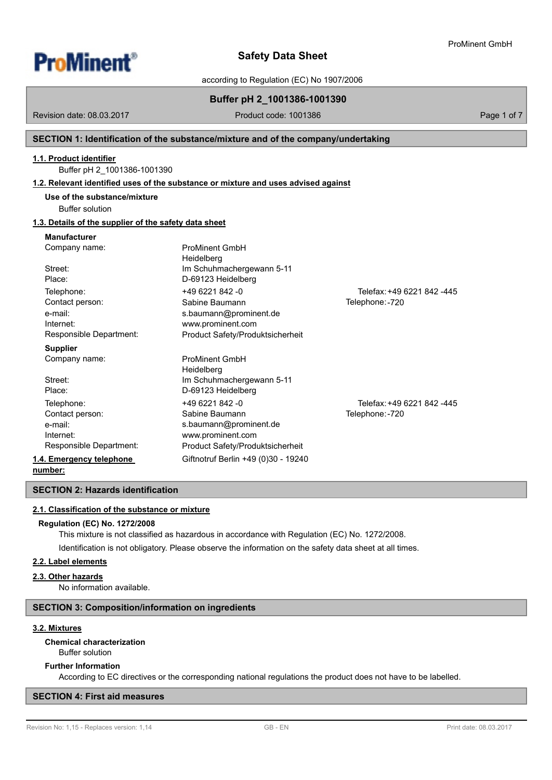

# according to Regulation (EC) No 1907/2006

# **Buffer pH 2\_1001386-1001390**

Revision date: 08.03.2017

Product code: 1001386 Product code: 1001386

# **SECTION 1: Identification of the substance/mixture and of the company/undertaking**

## **1.1. Product identifier**

Buffer pH 2\_1001386-1001390

### **1.2. Relevant identified uses of the substance or mixture and uses advised against**

| Use of the substance/mixture |  |
|------------------------------|--|
|------------------------------|--|

Buffer solution

# **1.3. Details of the supplier of the safety data sheet**

# **Manufacturer**

| Company name:            | <b>ProMinent GmbH</b><br>Heidelberg |                            |
|--------------------------|-------------------------------------|----------------------------|
| Street:                  | Im Schuhmachergewann 5-11           |                            |
| Place:                   | D-69123 Heidelberg                  |                            |
| Telephone:               | +49 6221 842 -0                     | Telefax: +49 6221 842 -445 |
| Contact person:          | Sabine Baumann                      | Telephone: -720            |
| e-mail:                  | s.baumann@prominent.de              |                            |
| Internet:                | www.prominent.com                   |                            |
| Responsible Department:  | Product Safety/Produktsicherheit    |                            |
| <b>Supplier</b>          |                                     |                            |
| Company name:            | <b>ProMinent GmbH</b>               |                            |
|                          | Heidelberg                          |                            |
| Street:                  | Im Schuhmachergewann 5-11           |                            |
| Place:                   | D-69123 Heidelberg                  |                            |
| Telephone:               | +49 6221 842 -0                     | Telefax: +49 6221 842 -445 |
| Contact person:          | Sabine Baumann                      | Telephone: - 720           |
| e-mail:                  | s.baumann@prominent.de              |                            |
| Internet:                | www.prominent.com                   |                            |
| Responsible Department:  | Product Safety/Produktsicherheit    |                            |
| 1.4. Emergency telephone | Giftnotruf Berlin +49 (0)30 - 19240 |                            |
| number:                  |                                     |                            |

#### **SECTION 2: Hazards identification**

#### **2.1. Classification of the substance or mixture**

#### **Regulation (EC) No. 1272/2008**

This mixture is not classified as hazardous in accordance with Regulation (EC) No. 1272/2008. Identification is not obligatory. Please observe the information on the safety data sheet at all times.

#### **2.2. Label elements**

#### **2.3. Other hazards**

No information available.

#### **SECTION 3: Composition/information on ingredients**

# **3.2. Mixtures**

# **Chemical characterization**

Buffer solution

# **Further Information**

According to EC directives or the corresponding national regulations the product does not have to be labelled.

## **SECTION 4: First aid measures**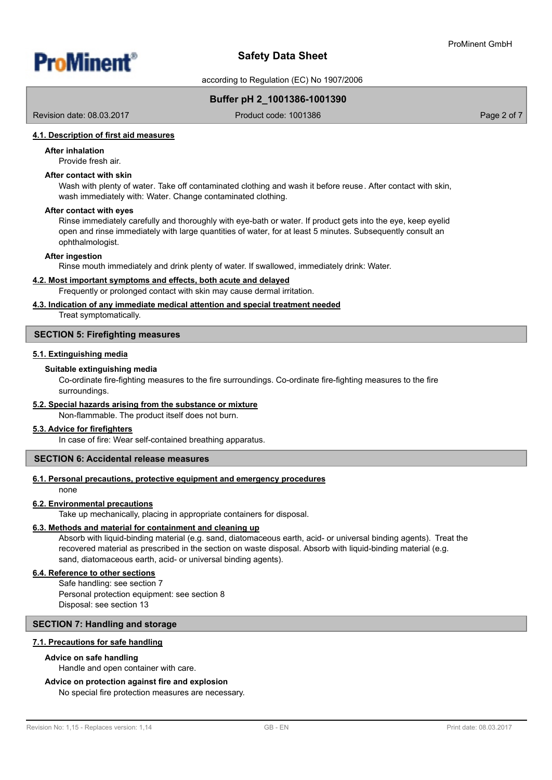

according to Regulation (EC) No 1907/2006

# **Buffer pH 2\_1001386-1001390**

Revision date: 08.03.2017

Product code: 1001386 Product code: 1001386

## **4.1. Description of first aid measures**

#### **After inhalation**

Provide fresh air.

# **After contact with skin**

Wash with plenty of water. Take off contaminated clothing and wash it before reuse. After contact with skin, wash immediately with: Water. Change contaminated clothing.

#### **After contact with eyes**

Rinse immediately carefully and thoroughly with eye-bath or water. If product gets into the eye, keep eyelid open and rinse immediately with large quantities of water, for at least 5 minutes. Subsequently consult an ophthalmologist.

#### **After ingestion**

Rinse mouth immediately and drink plenty of water. If swallowed, immediately drink: Water.

### **4.2. Most important symptoms and effects, both acute and delayed**

Frequently or prolonged contact with skin may cause dermal irritation.

# **4.3. Indication of any immediate medical attention and special treatment needed**

Treat symptomatically.

#### **SECTION 5: Firefighting measures**

#### **5.1. Extinguishing media**

#### **Suitable extinguishing media**

Co-ordinate fire-fighting measures to the fire surroundings. Co-ordinate fire-fighting measures to the fire surroundings.

### **5.2. Special hazards arising from the substance or mixture**

Non-flammable. The product itself does not burn.

### **5.3. Advice for firefighters**

In case of fire: Wear self-contained breathing apparatus.

# **SECTION 6: Accidental release measures**

### **6.1. Personal precautions, protective equipment and emergency procedures**

none

#### **6.2. Environmental precautions**

Take up mechanically, placing in appropriate containers for disposal.

#### **6.3. Methods and material for containment and cleaning up**

Absorb with liquid-binding material (e.g. sand, diatomaceous earth, acid- or universal binding agents). Treat the recovered material as prescribed in the section on waste disposal. Absorb with liquid-binding material (e.g. sand, diatomaceous earth, acid- or universal binding agents).

## **6.4. Reference to other sections**

Safe handling: see section 7 Personal protection equipment: see section 8 Disposal: see section 13

## **SECTION 7: Handling and storage**

#### **7.1. Precautions for safe handling**

#### **Advice on safe handling**

Handle and open container with care.

# **Advice on protection against fire and explosion**

No special fire protection measures are necessary.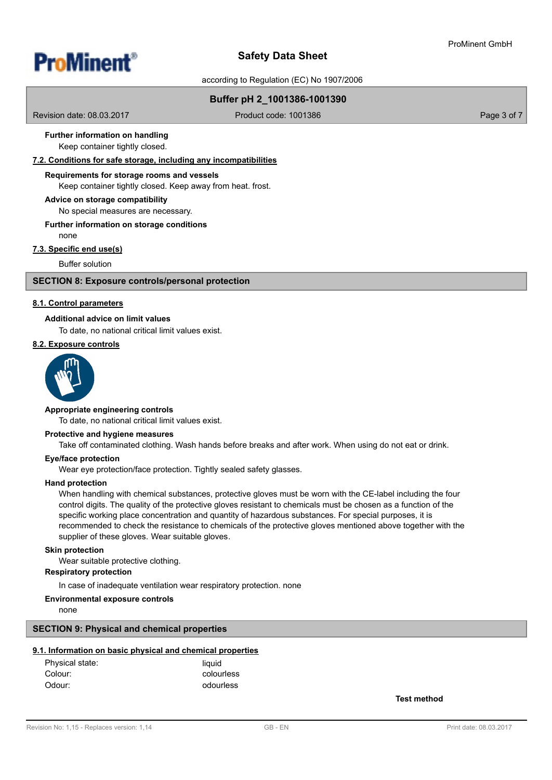

according to Regulation (EC) No 1907/2006

# **Buffer pH 2\_1001386-1001390**

Revision date: 08.03.2017

Product code: 1001386 Product code: 1001386

# **Further information on handling**

Keep container tightly closed.

# **7.2. Conditions for safe storage, including any incompatibilities**

#### **Requirements for storage rooms and vessels**

Keep container tightly closed. Keep away from heat. frost.

#### **Advice on storage compatibility**

No special measures are necessary.

# **Further information on storage conditions**

none

## **7.3. Specific end use(s)**

Buffer solution

### **SECTION 8: Exposure controls/personal protection**

#### **8.1. Control parameters**

#### **Additional advice on limit values**

To date, no national critical limit values exist.

#### **8.2. Exposure controls**



#### **Appropriate engineering controls**

To date, no national critical limit values exist.

### **Protective and hygiene measures**

Take off contaminated clothing. Wash hands before breaks and after work. When using do not eat or drink.

#### **Eye/face protection**

Wear eye protection/face protection. Tightly sealed safety glasses.

#### **Hand protection**

When handling with chemical substances, protective gloves must be worn with the CE-label including the four control digits. The quality of the protective gloves resistant to chemicals must be chosen as a function of the specific working place concentration and quantity of hazardous substances. For special purposes, it is recommended to check the resistance to chemicals of the protective gloves mentioned above together with the supplier of these gloves. Wear suitable gloves.

#### **Skin protection**

Wear suitable protective clothing.

# **Respiratory protection**

In case of inadequate ventilation wear respiratory protection. none

#### **Environmental exposure controls**

none

#### **SECTION 9: Physical and chemical properties**

### **9.1. Information on basic physical and chemical properties**

| Physical state: | liauid     |
|-----------------|------------|
| Colour:         | colourless |
| Odour:          | odourless  |

**Test method**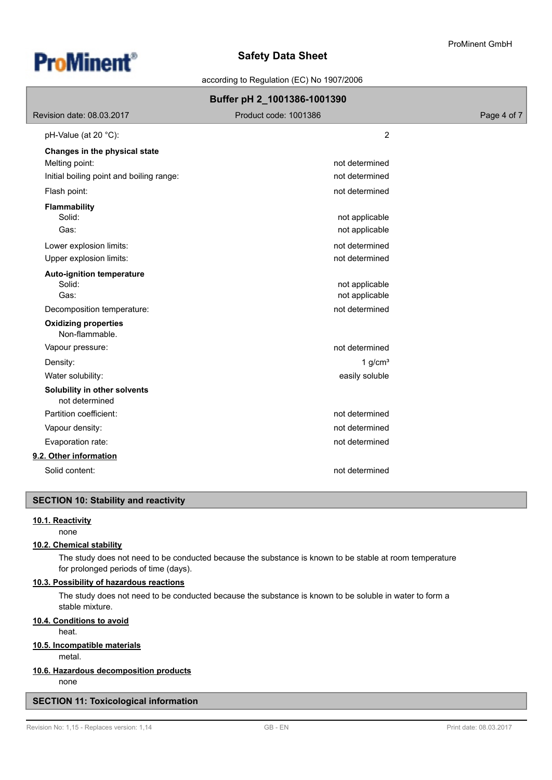



according to Regulation (EC) No 1907/2006

| Buffer pH 2_1001386-1001390                    |                       |             |  |  |
|------------------------------------------------|-----------------------|-------------|--|--|
| Revision date: 08.03.2017                      | Product code: 1001386 | Page 4 of 7 |  |  |
| pH-Value (at 20 $^{\circ}$ C):                 | 2                     |             |  |  |
| Changes in the physical state                  |                       |             |  |  |
| Melting point:                                 | not determined        |             |  |  |
| Initial boiling point and boiling range:       | not determined        |             |  |  |
| Flash point:                                   | not determined        |             |  |  |
| <b>Flammability</b>                            |                       |             |  |  |
| Solid:                                         | not applicable        |             |  |  |
| Gas:                                           | not applicable        |             |  |  |
| Lower explosion limits:                        | not determined        |             |  |  |
| Upper explosion limits:                        | not determined        |             |  |  |
| <b>Auto-ignition temperature</b>               |                       |             |  |  |
| Solid:                                         | not applicable        |             |  |  |
| Gas:                                           | not applicable        |             |  |  |
| Decomposition temperature:                     | not determined        |             |  |  |
| <b>Oxidizing properties</b><br>Non-flammable.  |                       |             |  |  |
| Vapour pressure:                               | not determined        |             |  |  |
| Density:                                       | 1 $g/cm3$             |             |  |  |
| Water solubility:                              | easily soluble        |             |  |  |
| Solubility in other solvents<br>not determined |                       |             |  |  |
| Partition coefficient:                         | not determined        |             |  |  |
| Vapour density:                                | not determined        |             |  |  |
| Evaporation rate:                              | not determined        |             |  |  |
| 9.2. Other information                         |                       |             |  |  |
| Solid content:                                 | not determined        |             |  |  |

# **SECTION 10: Stability and reactivity**

# **10.1. Reactivity**

none

# **10.2. Chemical stability**

The study does not need to be conducted because the substance is known to be stable at room temperature for prolonged periods of time (days).

# **10.3. Possibility of hazardous reactions**

The study does not need to be conducted because the substance is known to be soluble in water to form a stable mixture.

# **10.4. Conditions to avoid**

heat.

# **10.5. Incompatible materials**

metal.

# **10.6. Hazardous decomposition products**

none

# **SECTION 11: Toxicological information**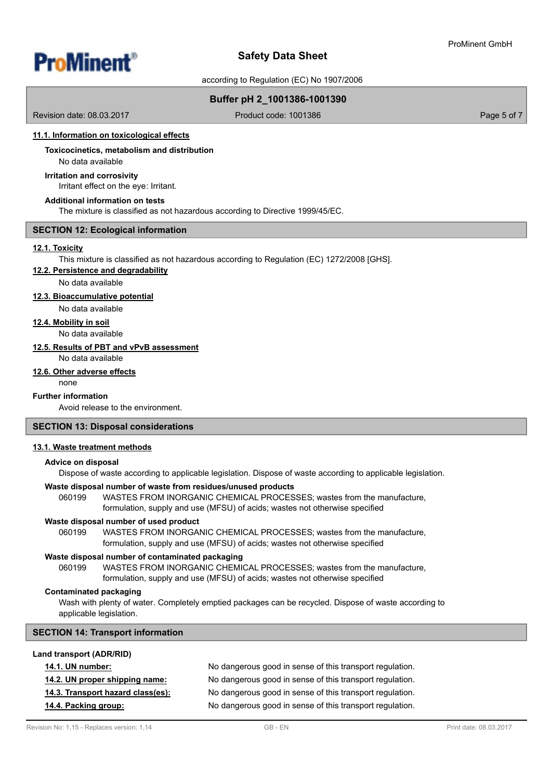

according to Regulation (EC) No 1907/2006

# **Buffer pH 2\_1001386-1001390**

Revision date: 08.03.2017

Product code: 1001386 Product code: 1001386

#### **11.1. Information on toxicological effects**

# **Toxicocinetics, metabolism and distribution**

No data available

# **Irritation and corrosivity**

Irritant effect on the eye: Irritant.

#### **Additional information on tests**

The mixture is classified as not hazardous according to Directive 1999/45/EC.

### **SECTION 12: Ecological information**

# **12.1. Toxicity**

This mixture is classified as not hazardous according to Regulation (EC) 1272/2008 [GHS].

#### **12.2. Persistence and degradability**

No data available

## **12.3. Bioaccumulative potential**

No data available

# **12.4. Mobility in soil**

No data available

# **12.5. Results of PBT and vPvB assessment**

No data available

## **12.6. Other adverse effects**

none

# **Further information**

Avoid release to the environment.

## **SECTION 13: Disposal considerations**

### **13.1. Waste treatment methods**

#### **Advice on disposal**

Dispose of waste according to applicable legislation. Dispose of waste according to applicable legislation.

# **Waste disposal number of waste from residues/unused products**

060199 WASTES FROM INORGANIC CHEMICAL PROCESSES; wastes from the manufacture, formulation, supply and use (MFSU) of acids; wastes not otherwise specified

#### **Waste disposal number of used product**

WASTES FROM INORGANIC CHEMICAL PROCESSES; wastes from the manufacture, formulation, supply and use (MFSU) of acids; wastes not otherwise specified 060199

### **Waste disposal number of contaminated packaging**

WASTES FROM INORGANIC CHEMICAL PROCESSES; wastes from the manufacture, formulation, supply and use (MFSU) of acids; wastes not otherwise specified 060199

#### **Contaminated packaging**

Wash with plenty of water. Completely emptied packages can be recycled. Dispose of waste according to applicable legislation.

## **SECTION 14: Transport information**

### **Land transport (ADR/RID)**

| <b>14.1. UN number:</b>           | No dangerous good in sense of this transport regulation. |
|-----------------------------------|----------------------------------------------------------|
| 14.2. UN proper shipping name:    | No dangerous good in sense of this transport regulation. |
| 14.3. Transport hazard class(es): | No dangerous good in sense of this transport regulation. |
| 14.4. Packing group:              | No dangerous good in sense of this transport regulation. |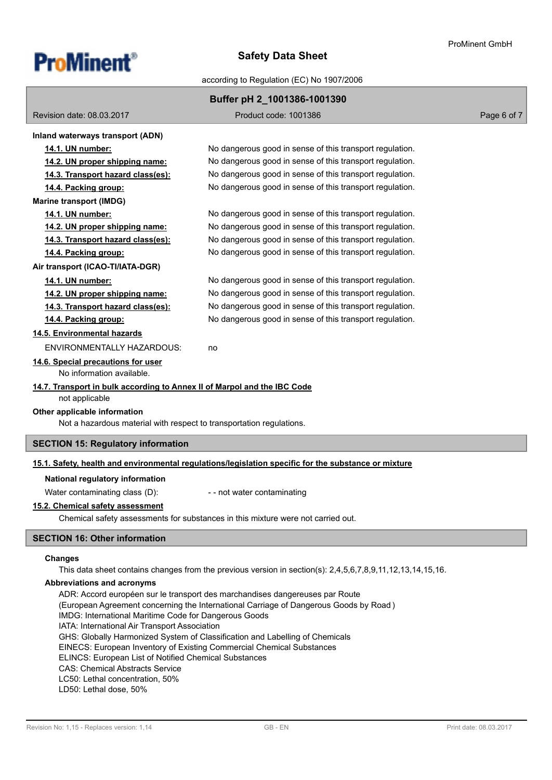

according to Regulation (EC) No 1907/2006

|                                                                          | Buffer pH 2_1001386-1001390                                                                          |             |
|--------------------------------------------------------------------------|------------------------------------------------------------------------------------------------------|-------------|
| Revision date: 08.03.2017                                                | Product code: 1001386                                                                                | Page 6 of 7 |
| Inland waterways transport (ADN)                                         |                                                                                                      |             |
| 14.1. UN number:                                                         | No dangerous good in sense of this transport regulation.                                             |             |
| 14.2. UN proper shipping name:                                           | No dangerous good in sense of this transport regulation.                                             |             |
| 14.3. Transport hazard class(es):                                        | No dangerous good in sense of this transport regulation.                                             |             |
| 14.4. Packing group:                                                     | No dangerous good in sense of this transport regulation.                                             |             |
| <b>Marine transport (IMDG)</b>                                           |                                                                                                      |             |
| 14.1. UN number:                                                         | No dangerous good in sense of this transport regulation.                                             |             |
| 14.2. UN proper shipping name:                                           | No dangerous good in sense of this transport regulation.                                             |             |
| 14.3. Transport hazard class(es):                                        | No dangerous good in sense of this transport regulation.                                             |             |
| 14.4. Packing group:                                                     | No dangerous good in sense of this transport regulation.                                             |             |
| Air transport (ICAO-TI/IATA-DGR)                                         |                                                                                                      |             |
| 14.1. UN number:                                                         | No dangerous good in sense of this transport regulation.                                             |             |
| 14.2. UN proper shipping name:                                           | No dangerous good in sense of this transport regulation.                                             |             |
| 14.3. Transport hazard class(es):                                        | No dangerous good in sense of this transport regulation.                                             |             |
| 14.4. Packing group:                                                     | No dangerous good in sense of this transport regulation.                                             |             |
| 14.5. Environmental hazards                                              |                                                                                                      |             |
| <b>ENVIRONMENTALLY HAZARDOUS:</b>                                        | no                                                                                                   |             |
| 14.6. Special precautions for user<br>No information available.          |                                                                                                      |             |
| 14.7. Transport in bulk according to Annex II of Marpol and the IBC Code |                                                                                                      |             |
| not applicable                                                           |                                                                                                      |             |
| Other applicable information                                             |                                                                                                      |             |
| Not a hazardous material with respect to transportation regulations.     |                                                                                                      |             |
| <b>SECTION 15: Regulatory information</b>                                |                                                                                                      |             |
|                                                                          | 15.1. Safety, health and environmental regulations/legislation specific for the substance or mixture |             |
| National regulatory information                                          |                                                                                                      |             |
| Water contaminating class (D):                                           | - - not water contaminating                                                                          |             |
| 15.2. Chemical safety assessment                                         |                                                                                                      |             |
|                                                                          | Chemical safety assessments for substances in this mixture were not carried out.                     |             |
| <b>SECTION 16: Other information</b>                                     |                                                                                                      |             |

#### **Changes**

This data sheet contains changes from the previous version in section(s): 2,4,5,6,7,8,9,11,12,13,14,15,16.

#### **Abbreviations and acronyms**

ADR: Accord européen sur le transport des marchandises dangereuses par Route (European Agreement concerning the International Carriage of Dangerous Goods by Road ) IMDG: International Maritime Code for Dangerous Goods IATA: International Air Transport Association GHS: Globally Harmonized System of Classification and Labelling of Chemicals EINECS: European Inventory of Existing Commercial Chemical Substances ELINCS: European List of Notified Chemical Substances CAS: Chemical Abstracts Service LC50: Lethal concentration, 50% LD50: Lethal dose, 50%